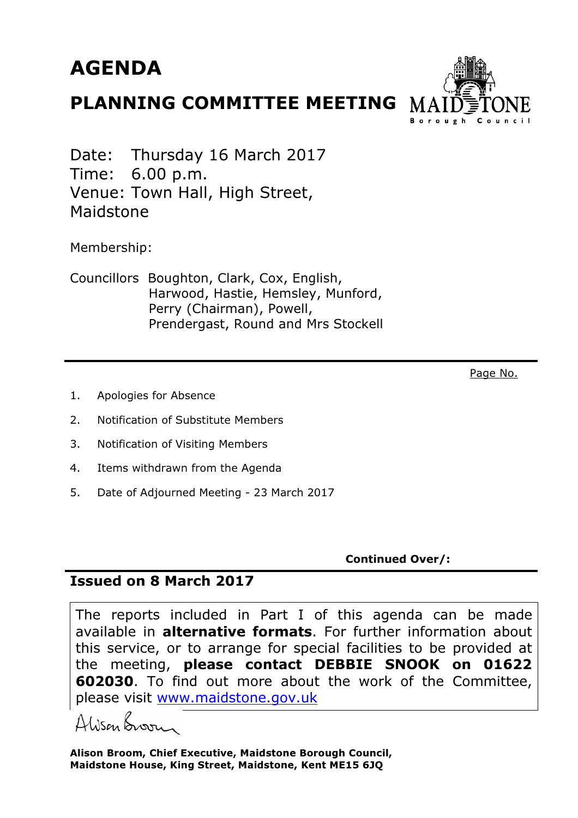## AGENDA

## PLANNING COMMITTEE MEETING



Date: Thursday 16 March 2017 Time: 6.00 p.m. Venue: Town Hall, High Street, Maidstone

Membership:

Councillors Boughton, Clark, Cox, English, Harwood, Hastie, Hemsley, Munford, Perry (Chairman), Powell, Prendergast, Round and Mrs Stockell

Page No.

- 1. Apologies for Absence
- 2. Notification of Substitute Members
- 3. Notification of Visiting Members
- 4. Items withdrawn from the Agenda
- 5. Date of Adjourned Meeting 23 March 2017

Continued Over/:

## Issued on 8 March 2017

The reports included in Part I of this agenda can be made available in **alternative formats**. For further information about this service, or to arrange for special facilities to be provided at the meeting, please contact DEBBIE SNOOK on 01622 **602030.** To find out more about the work of the Committee, please visit www.maidstone.gov.uk

Ahisan Broom

Alison Broom, Chief Executive, Maidstone Borough Council, Maidstone House, King Street, Maidstone, Kent ME15 6JQ